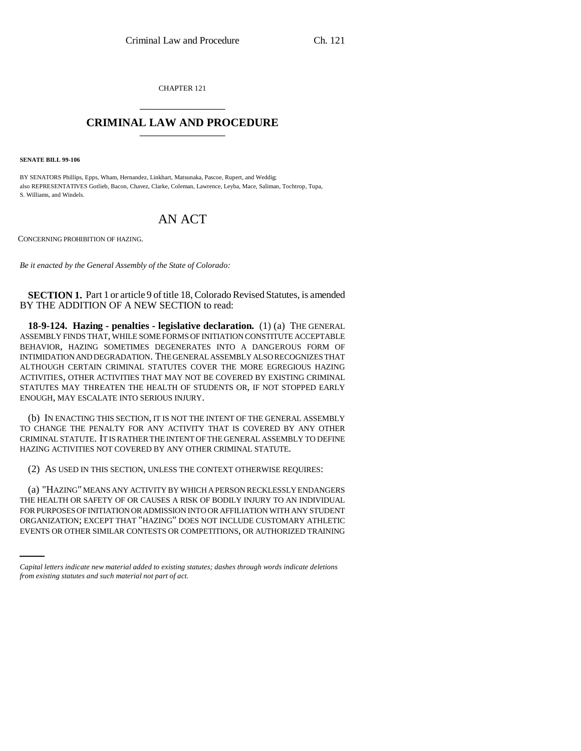CHAPTER 121 \_\_\_\_\_\_\_\_\_\_\_\_\_\_\_

## **CRIMINAL LAW AND PROCEDURE** \_\_\_\_\_\_\_\_\_\_\_\_\_\_\_

**SENATE BILL 99-106** 

BY SENATORS Phillips, Epps, Wham, Hernandez, Linkhart, Matsunaka, Pascoe, Rupert, and Weddig; also REPRESENTATIVES Gotlieb, Bacon, Chavez, Clarke, Coleman, Lawrence, Leyba, Mace, Saliman, Tochtrop, Tupa, S. Williams, and Windels.

## AN ACT

CONCERNING PROHIBITION OF HAZING.

*Be it enacted by the General Assembly of the State of Colorado:*

**SECTION 1.** Part 1 or article 9 of title 18, Colorado Revised Statutes, is amended BY THE ADDITION OF A NEW SECTION to read:

**18-9-124. Hazing - penalties - legislative declaration.** (1) (a) THE GENERAL ASSEMBLY FINDS THAT, WHILE SOME FORMS OF INITIATION CONSTITUTE ACCEPTABLE BEHAVIOR, HAZING SOMETIMES DEGENERATES INTO A DANGEROUS FORM OF INTIMIDATION AND DEGRADATION. THE GENERAL ASSEMBLY ALSO RECOGNIZES THAT ALTHOUGH CERTAIN CRIMINAL STATUTES COVER THE MORE EGREGIOUS HAZING ACTIVITIES, OTHER ACTIVITIES THAT MAY NOT BE COVERED BY EXISTING CRIMINAL STATUTES MAY THREATEN THE HEALTH OF STUDENTS OR, IF NOT STOPPED EARLY ENOUGH, MAY ESCALATE INTO SERIOUS INJURY.

(b) IN ENACTING THIS SECTION, IT IS NOT THE INTENT OF THE GENERAL ASSEMBLY TO CHANGE THE PENALTY FOR ANY ACTIVITY THAT IS COVERED BY ANY OTHER CRIMINAL STATUTE. IT IS RATHER THE INTENT OF THE GENERAL ASSEMBLY TO DEFINE HAZING ACTIVITIES NOT COVERED BY ANY OTHER CRIMINAL STATUTE.

(2) AS USED IN THIS SECTION, UNLESS THE CONTEXT OTHERWISE REQUIRES:

FOR PURPOSES OF INITIATION OR ADMISSION INTO OR AFFILIATION WITH ANY STUDENT (a) "HAZING" MEANS ANY ACTIVITY BY WHICH A PERSON RECKLESSLY ENDANGERS THE HEALTH OR SAFETY OF OR CAUSES A RISK OF BODILY INJURY TO AN INDIVIDUAL ORGANIZATION; EXCEPT THAT "HAZING" DOES NOT INCLUDE CUSTOMARY ATHLETIC EVENTS OR OTHER SIMILAR CONTESTS OR COMPETITIONS, OR AUTHORIZED TRAINING

*Capital letters indicate new material added to existing statutes; dashes through words indicate deletions from existing statutes and such material not part of act.*